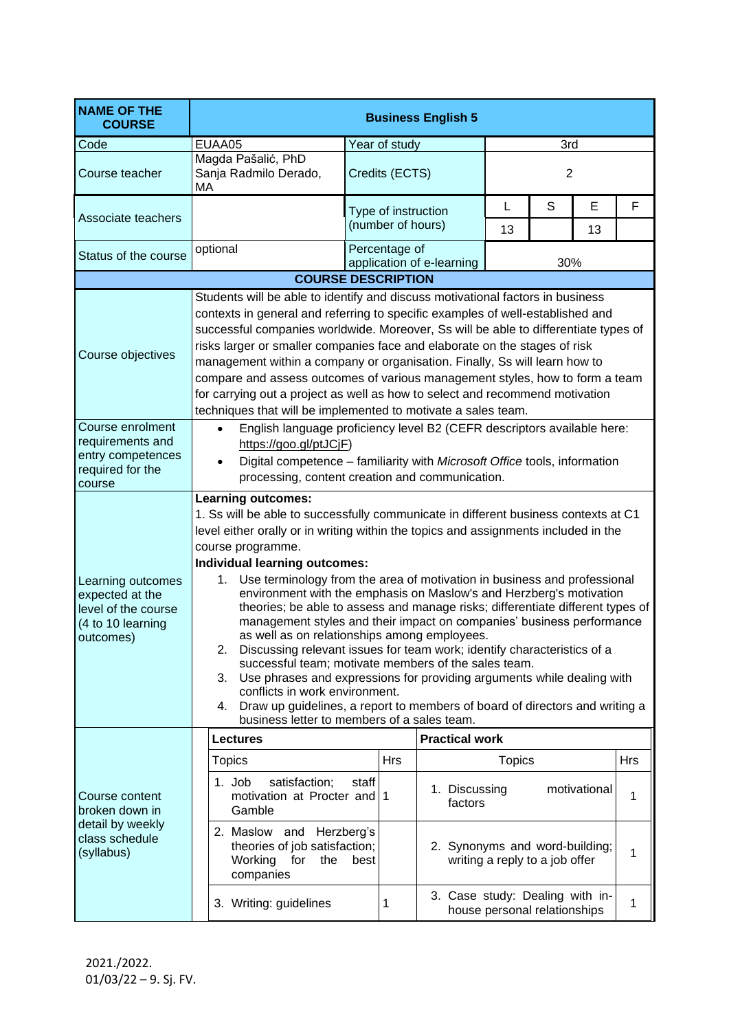| <b>NAME OF THE</b><br><b>COURSE</b>                                                           | <b>Business English 5</b>                                                                                                                                                                                                                                                                                                                                                                                                                                                                                                                                                                                                                                                                                                                                                                                                                                                                                                                                                                                               |                                            |                          |                                                                  |            |  |  |
|-----------------------------------------------------------------------------------------------|-------------------------------------------------------------------------------------------------------------------------------------------------------------------------------------------------------------------------------------------------------------------------------------------------------------------------------------------------------------------------------------------------------------------------------------------------------------------------------------------------------------------------------------------------------------------------------------------------------------------------------------------------------------------------------------------------------------------------------------------------------------------------------------------------------------------------------------------------------------------------------------------------------------------------------------------------------------------------------------------------------------------------|--------------------------------------------|--------------------------|------------------------------------------------------------------|------------|--|--|
| Code                                                                                          | EUAA05                                                                                                                                                                                                                                                                                                                                                                                                                                                                                                                                                                                                                                                                                                                                                                                                                                                                                                                                                                                                                  | Year of study                              |                          | 3rd                                                              |            |  |  |
| Course teacher                                                                                | Magda Pašalić, PhD<br>Sanja Radmilo Derado,<br>MA                                                                                                                                                                                                                                                                                                                                                                                                                                                                                                                                                                                                                                                                                                                                                                                                                                                                                                                                                                       | Credits (ECTS)                             |                          | $\overline{2}$                                                   |            |  |  |
| Associate teachers                                                                            |                                                                                                                                                                                                                                                                                                                                                                                                                                                                                                                                                                                                                                                                                                                                                                                                                                                                                                                                                                                                                         | Type of instruction<br>(number of hours)   | L<br>13                  | S<br>E<br>13                                                     | F          |  |  |
| Status of the course                                                                          | optional                                                                                                                                                                                                                                                                                                                                                                                                                                                                                                                                                                                                                                                                                                                                                                                                                                                                                                                                                                                                                | Percentage of<br>application of e-learning |                          | 30%                                                              |            |  |  |
|                                                                                               |                                                                                                                                                                                                                                                                                                                                                                                                                                                                                                                                                                                                                                                                                                                                                                                                                                                                                                                                                                                                                         | <b>COURSE DESCRIPTION</b>                  |                          |                                                                  |            |  |  |
| Course objectives                                                                             | Students will be able to identify and discuss motivational factors in business<br>contexts in general and referring to specific examples of well-established and<br>successful companies worldwide. Moreover, Ss will be able to differentiate types of<br>risks larger or smaller companies face and elaborate on the stages of risk<br>management within a company or organisation. Finally, Ss will learn how to<br>compare and assess outcomes of various management styles, how to form a team<br>for carrying out a project as well as how to select and recommend motivation                                                                                                                                                                                                                                                                                                                                                                                                                                     |                                            |                          |                                                                  |            |  |  |
| Course enrolment<br>requirements and<br>entry competences<br>required for the<br>course       | techniques that will be implemented to motivate a sales team.<br>English language proficiency level B2 (CEFR descriptors available here:<br>https://goo.gl/ptJCjF)<br>Digital competence - familiarity with Microsoft Office tools, information<br>processing, content creation and communication.                                                                                                                                                                                                                                                                                                                                                                                                                                                                                                                                                                                                                                                                                                                      |                                            |                          |                                                                  |            |  |  |
| Learning outcomes<br>expected at the<br>level of the course<br>(4 to 10 learning<br>outcomes) | <b>Learning outcomes:</b><br>1. Ss will be able to successfully communicate in different business contexts at C1<br>level either orally or in writing within the topics and assignments included in the<br>course programme.<br>Individual learning outcomes:<br>1. Use terminology from the area of motivation in business and professional<br>environment with the emphasis on Maslow's and Herzberg's motivation<br>theories; be able to assess and manage risks; differentiate different types of<br>management styles and their impact on companies' business performance<br>as well as on relationships among employees.<br>2. Discussing relevant issues for team work; identify characteristics of a<br>successful team; motivate members of the sales team.<br>3. Use phrases and expressions for providing arguments while dealing with<br>conflicts in work environment.<br>Draw up guidelines, a report to members of board of directors and writing a<br>4.<br>business letter to members of a sales team. |                                            |                          |                                                                  |            |  |  |
|                                                                                               | <b>Lectures</b>                                                                                                                                                                                                                                                                                                                                                                                                                                                                                                                                                                                                                                                                                                                                                                                                                                                                                                                                                                                                         |                                            | <b>Practical work</b>    |                                                                  |            |  |  |
| Course content<br>broken down in<br>detail by weekly<br>class schedule<br>(syllabus)          | <b>Topics</b>                                                                                                                                                                                                                                                                                                                                                                                                                                                                                                                                                                                                                                                                                                                                                                                                                                                                                                                                                                                                           | <b>Hrs</b>                                 |                          | <b>Topics</b>                                                    | <b>Hrs</b> |  |  |
|                                                                                               | satisfaction;<br>1. Job<br>motivation at Procter and 1<br>Gamble                                                                                                                                                                                                                                                                                                                                                                                                                                                                                                                                                                                                                                                                                                                                                                                                                                                                                                                                                        | staff                                      | 1. Discussing<br>factors | motivational                                                     | 1          |  |  |
|                                                                                               | 2. Maslow and Herzberg's<br>theories of job satisfaction;<br>Working for<br>the<br>companies                                                                                                                                                                                                                                                                                                                                                                                                                                                                                                                                                                                                                                                                                                                                                                                                                                                                                                                            | best                                       |                          | 2. Synonyms and word-building;<br>writing a reply to a job offer | 1          |  |  |
|                                                                                               | 3. Writing: guidelines                                                                                                                                                                                                                                                                                                                                                                                                                                                                                                                                                                                                                                                                                                                                                                                                                                                                                                                                                                                                  | 1                                          |                          | 3. Case study: Dealing with in-<br>house personal relationships  | 1          |  |  |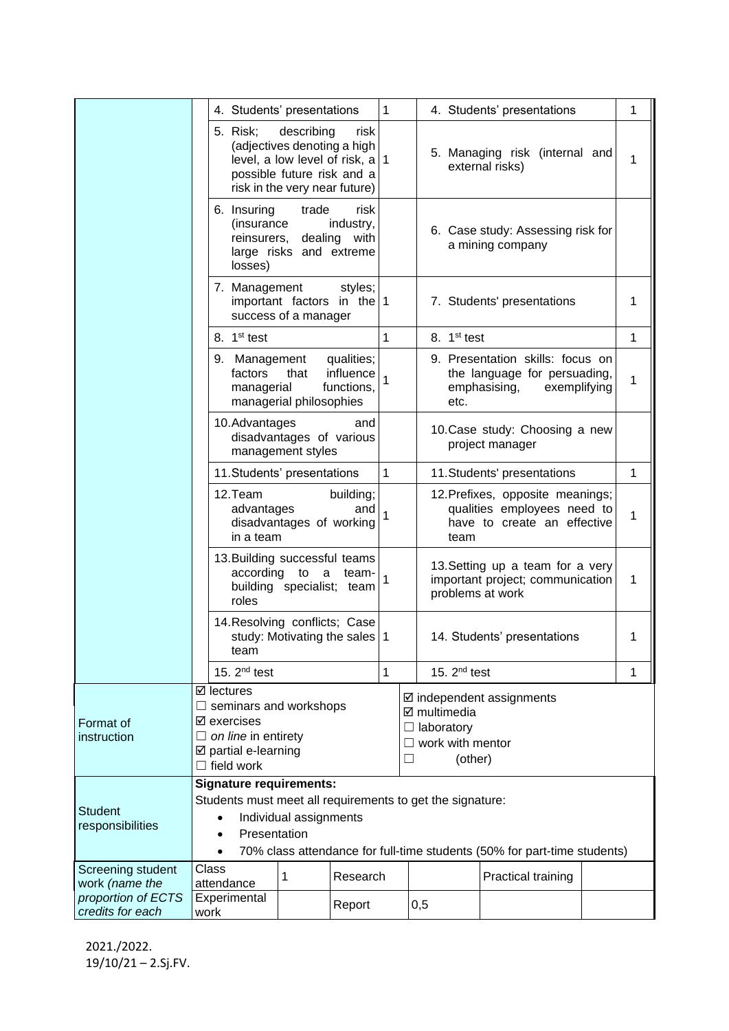|                                                          |                                                                                                                                                                                                                   |                                                                                                                                                    | 1                                                                                                   |                                                                                                            |                                                                                                          |                            |              |              |
|----------------------------------------------------------|-------------------------------------------------------------------------------------------------------------------------------------------------------------------------------------------------------------------|----------------------------------------------------------------------------------------------------------------------------------------------------|-----------------------------------------------------------------------------------------------------|------------------------------------------------------------------------------------------------------------|----------------------------------------------------------------------------------------------------------|----------------------------|--------------|--------------|
|                                                          |                                                                                                                                                                                                                   | 4. Students' presentations                                                                                                                         |                                                                                                     | 4. Students' presentations                                                                                 |                                                                                                          |                            |              | 1            |
|                                                          | 5. Risk;                                                                                                                                                                                                          | describing<br>(adjectives denoting a high<br>level, a low level of risk, $a \mid 1$<br>possible future risk and a<br>risk in the very near future) | risk                                                                                                |                                                                                                            | 5. Managing risk (internal and<br>external risks)                                                        |                            |              | 1            |
|                                                          | losses)                                                                                                                                                                                                           | 6. Insuring<br>trade<br>risk<br>(insurance<br>industry,<br>reinsurers, dealing<br>with<br>large risks and extreme                                  |                                                                                                     |                                                                                                            | 6. Case study: Assessing risk for<br>a mining company                                                    |                            |              |              |
|                                                          | 7. Management                                                                                                                                                                                                     | important factors in the $1$<br>success of a manager                                                                                               | styles;                                                                                             |                                                                                                            |                                                                                                          | 7. Students' presentations |              | 1            |
|                                                          | 8. 1 <sup>st</sup> test                                                                                                                                                                                           |                                                                                                                                                    | 1                                                                                                   |                                                                                                            | 8. 1 <sup>st</sup> test                                                                                  |                            |              | $\mathbf{1}$ |
|                                                          | 9. Management<br>factors<br>managerial                                                                                                                                                                            | qualities;<br>influence<br>that<br>functions,<br>managerial philosophies                                                                           | 1                                                                                                   |                                                                                                            | 9. Presentation skills: focus on<br>the language for persuading,<br>emphasising,<br>exemplifying<br>etc. |                            |              | 1            |
|                                                          | 10.Advantages                                                                                                                                                                                                     | disadvantages of various<br>management styles                                                                                                      | and                                                                                                 | 10. Case study: Choosing a new<br>project manager                                                          |                                                                                                          |                            |              |              |
|                                                          |                                                                                                                                                                                                                   | 11. Students' presentations                                                                                                                        | 1<br>11. Students' presentations                                                                    |                                                                                                            |                                                                                                          |                            | $\mathbf{1}$ |              |
|                                                          | 12.Team<br>building;<br>advantages<br>and<br>disadvantages of working<br>in a team<br>team                                                                                                                        |                                                                                                                                                    | 12. Prefixes, opposite meanings;<br>qualities employees need to<br>1<br>have to create an effective |                                                                                                            |                                                                                                          |                            |              |              |
|                                                          | roles                                                                                                                                                                                                             | 13. Building successful teams<br>according<br>to<br>a<br>team-<br>building specialist; team                                                        |                                                                                                     |                                                                                                            | 13. Setting up a team for a very<br>important project; communication<br>problems at work                 |                            |              | 1            |
|                                                          | team                                                                                                                                                                                                              | 14. Resolving conflicts; Case<br>study: Motivating the sales   1                                                                                   |                                                                                                     | 14. Students' presentations                                                                                |                                                                                                          |                            | 1            |              |
|                                                          | 15. $2nd$ test                                                                                                                                                                                                    |                                                                                                                                                    | 1                                                                                                   |                                                                                                            | 15. $2nd$ test                                                                                           |                            |              | 1            |
| Format of<br>instruction                                 | $\boxtimes$ lectures<br>$\Box$ seminars and workshops<br>$\boxtimes$ exercises<br>$\Box$ on line in entirety<br>☑ partial e-learning<br>$\Box$ field work                                                         |                                                                                                                                                    |                                                                                                     | $\boxtimes$ independent assignments<br>☑ multimedia<br>laboratory<br>work with mentor<br>(other)<br>$\Box$ |                                                                                                          |                            |              |              |
| <b>Student</b><br>responsibilities                       | <b>Signature requirements:</b><br>Students must meet all requirements to get the signature:<br>Individual assignments<br>Presentation<br>70% class attendance for full-time students (50% for part-time students) |                                                                                                                                                    |                                                                                                     |                                                                                                            |                                                                                                          |                            |              |              |
| Screening student                                        | Class                                                                                                                                                                                                             | 1                                                                                                                                                  | Research                                                                                            |                                                                                                            |                                                                                                          | Practical training         |              |              |
| work (name the<br>proportion of ECTS<br>credits for each | attendance<br>Experimental<br>work                                                                                                                                                                                | Report                                                                                                                                             |                                                                                                     | 0,5                                                                                                        |                                                                                                          |                            |              |              |

2021./2022. 19/10/21 – 2.Sj.FV.